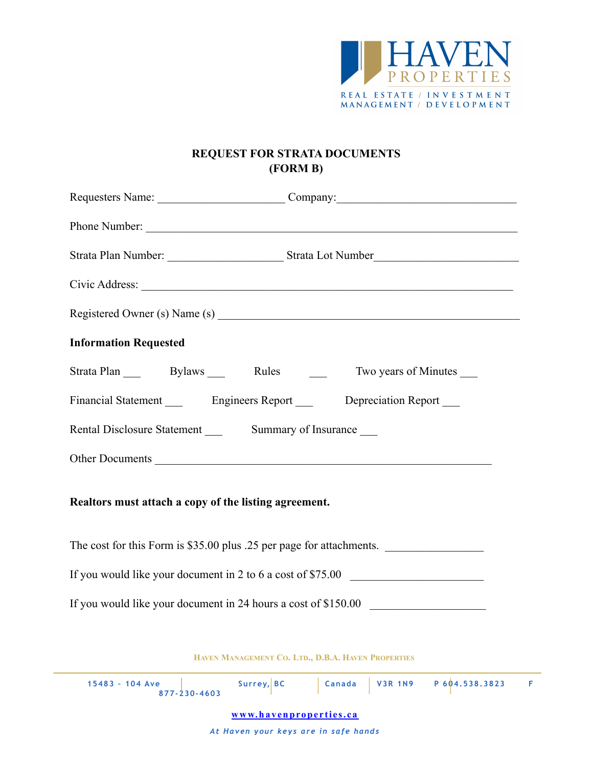

## **REQUEST FOR STRATA DOCUMENTS (FORM B)**

| Requesters Name: Company: Company:                                                   |  |  |  |  |  |  |
|--------------------------------------------------------------------------------------|--|--|--|--|--|--|
| Phone Number:                                                                        |  |  |  |  |  |  |
|                                                                                      |  |  |  |  |  |  |
|                                                                                      |  |  |  |  |  |  |
|                                                                                      |  |  |  |  |  |  |
| <b>Information Requested</b>                                                         |  |  |  |  |  |  |
| Strata Plan Bylaws Rules — Rules<br>Two years of Minutes                             |  |  |  |  |  |  |
| Financial Statement __________ Engineers Report __________ Depreciation Report _____ |  |  |  |  |  |  |
|                                                                                      |  |  |  |  |  |  |
| Other Documents                                                                      |  |  |  |  |  |  |
| Realtors must attach a copy of the listing agreement.                                |  |  |  |  |  |  |
| The cost for this Form is \$35.00 plus .25 per page for attachments.                 |  |  |  |  |  |  |
| If you would like your document in 2 to 6 a cost of \$75.00                          |  |  |  |  |  |  |
| If you would like your document in 24 hours a cost of \$150.00 __________________    |  |  |  |  |  |  |
|                                                                                      |  |  |  |  |  |  |

**HAVEN MANAGEMENT CO. LTD., D.B.A. HAVEN PROPERTIES**

| $15483 - 104$ Ave<br>$877 - 230 - 4603$ | Surrey, BC |  |  | Canada   V3R 1N9   P604.538.3823 |  |  |
|-----------------------------------------|------------|--|--|----------------------------------|--|--|
| www.havenproperties.ca                  |            |  |  |                                  |  |  |

*At Haven your keys are in safe hands*